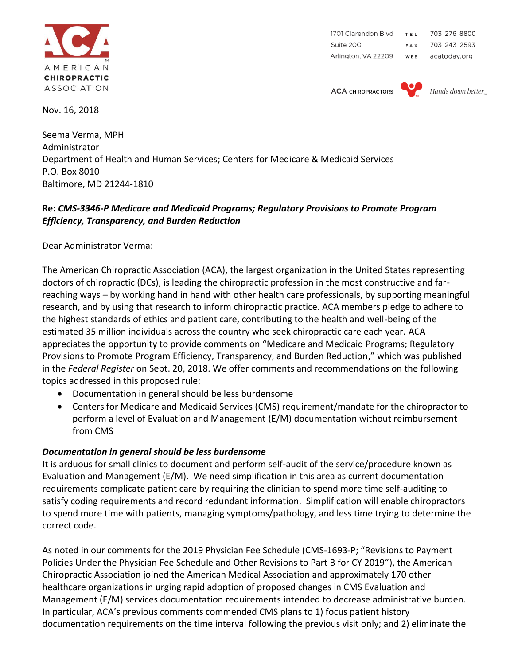

1701 Clarendon Blvd TEL 703 276 8800 Suite 200 703 243 2593 FAX Arlington, VA 22209 WEB acatoday.org

**ACA CHIROPRACTORS** 



Hands down better

Nov. 16, 2018

Seema Verma, MPH Administrator Department of Health and Human Services; Centers for Medicare & Medicaid Services P.O. Box 8010 Baltimore, MD 21244-1810

## **Re:** *CMS-3346-P Medicare and Medicaid Programs; Regulatory Provisions to Promote Program Efficiency, Transparency, and Burden Reduction*

Dear Administrator Verma:

The American Chiropractic Association (ACA), the largest organization in the United States representing doctors of chiropractic (DCs), is leading the chiropractic profession in the most constructive and farreaching ways – by working hand in hand with other health care professionals, by supporting meaningful research, and by using that research to inform chiropractic practice. ACA members pledge to adhere to the highest standards of ethics and patient care, contributing to the health and well-being of the estimated 35 million individuals across the country who seek chiropractic care each year. ACA appreciates the opportunity to provide comments on "Medicare and Medicaid Programs; Regulatory Provisions to Promote Program Efficiency, Transparency, and Burden Reduction," which was published in the *Federal Register* on Sept. 20, 2018. We offer comments and recommendations on the following topics addressed in this proposed rule:

- Documentation in general should be less burdensome
- Centers for Medicare and Medicaid Services (CMS) requirement/mandate for the chiropractor to perform a level of Evaluation and Management (E/M) documentation without reimbursement from CMS

## *Documentation in general should be less burdensome*

It is arduous for small clinics to document and perform self-audit of the service/procedure known as Evaluation and Management (E/M). We need simplification in this area as current documentation requirements complicate patient care by requiring the clinician to spend more time self-auditing to satisfy coding requirements and record redundant information. Simplification will enable chiropractors to spend more time with patients, managing symptoms/pathology, and less time trying to determine the correct code.

As noted in our comments for the 2019 Physician Fee Schedule (CMS-1693-P; "Revisions to Payment Policies Under the Physician Fee Schedule and Other Revisions to Part B for CY 2019"), the American Chiropractic Association joined the American Medical Association and approximately 170 other healthcare organizations in urging rapid adoption of proposed changes in CMS Evaluation and Management (E/M) services documentation requirements intended to decrease administrative burden. In particular, ACA's previous comments commended CMS plans to 1) focus patient history documentation requirements on the time interval following the previous visit only; and 2) eliminate the